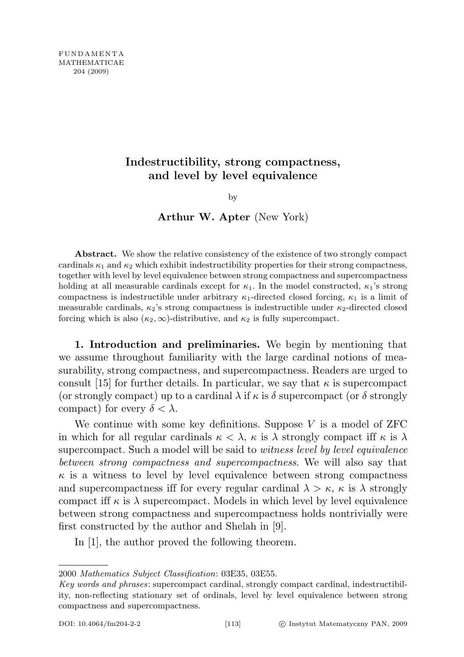## Indestructibility, strong compactness, and level by level equivalence

by

Arthur W. Apter (New York)

Abstract. We show the relative consistency of the existence of two strongly compact cardinals  $\kappa_1$  and  $\kappa_2$  which exhibit indestructibility properties for their strong compactness, together with level by level equivalence between strong compactness and supercompactness holding at all measurable cardinals except for  $\kappa_1$ . In the model constructed,  $\kappa_1$ 's strong compactness is indestructible under arbitrary  $\kappa_1$ -directed closed forcing,  $\kappa_1$  is a limit of measurable cardinals,  $\kappa_2$ 's strong compactness is indestructible under  $\kappa_2$ -directed closed forcing which is also  $(\kappa_2, \infty)$ -distributive, and  $\kappa_2$  is fully supercompact.

1. Introduction and preliminaries. We begin by mentioning that we assume throughout familiarity with the large cardinal notions of measurability, strong compactness, and supercompactness. Readers are urged to consult [15] for further details. In particular, we say that  $\kappa$  is supercompact (or strongly compact) up to a cardinal  $\lambda$  if  $\kappa$  is  $\delta$  supercompact (or  $\delta$  strongly compact) for every  $\delta < \lambda$ .

We continue with some key definitions. Suppose  $V$  is a model of  $ZFC$ in which for all regular cardinals  $\kappa < \lambda$ ,  $\kappa$  is  $\lambda$  strongly compact iff  $\kappa$  is  $\lambda$ supercompact. Such a model will be said to *witness level by level equivalence* between strong compactness and supercompactness. We will also say that  $\kappa$  is a witness to level by level equivalence between strong compactness and supercompactness iff for every regular cardinal  $\lambda > \kappa$ ,  $\kappa$  is  $\lambda$  strongly compact iff  $\kappa$  is  $\lambda$  supercompact. Models in which level by level equivalence between strong compactness and supercompactness holds nontrivially were first constructed by the author and Shelah in [9].

In [1], the author proved the following theorem.

2000 Mathematics Subject Classification: 03E35, 03E55.

Key words and phrases: supercompact cardinal, strongly compact cardinal, indestructibility, non-reflecting stationary set of ordinals, level by level equivalence between strong compactness and supercompactness.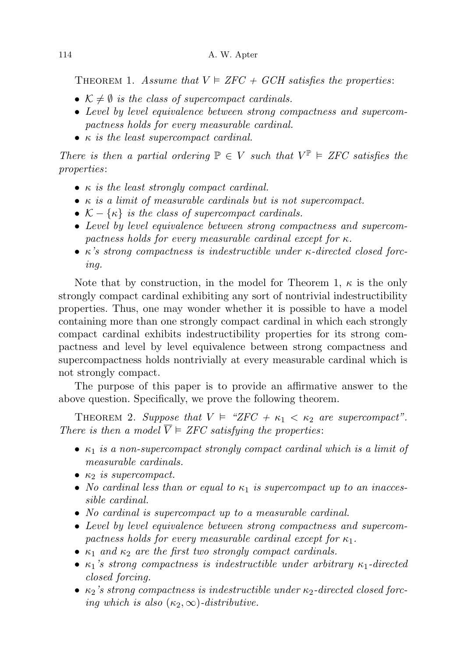THEOREM 1. Assume that  $V \models ZFC + GCH$  satisfies the properties:

- $K \neq \emptyset$  is the class of supercompact cardinals.
- Level by level equivalence between strong compactness and supercompactness holds for every measurable cardinal.
- $\kappa$  is the least supercompact cardinal.

There is then a partial ordering  $\mathbb{P} \in V$  such that  $V^{\mathbb{P}} \models ZFC$  satisfies the properties:

- $\kappa$  is the least strongly compact cardinal.
- $\bullet$   $\kappa$  is a limit of measurable cardinals but is not supercompact.
- $\mathcal{K} \{\kappa\}$  is the class of supercompact cardinals.
- Level by level equivalence between strong compactness and supercompactness holds for every measurable cardinal except for  $\kappa$ .
- $\kappa$ 's strong compactness is indestructible under  $\kappa$ -directed closed forcing.

Note that by construction, in the model for Theorem 1,  $\kappa$  is the only strongly compact cardinal exhibiting any sort of nontrivial indestructibility properties. Thus, one may wonder whether it is possible to have a model containing more than one strongly compact cardinal in which each strongly compact cardinal exhibits indestructibility properties for its strong compactness and level by level equivalence between strong compactness and supercompactness holds nontrivially at every measurable cardinal which is not strongly compact.

The purpose of this paper is to provide an affirmative answer to the above question. Specifically, we prove the following theorem.

THEOREM 2. Suppose that  $V \models$  "ZFC +  $\kappa_1 < \kappa_2$  are supercompact". There is then a model  $\overline{V} \models ZFC$  satisfying the properties:

- $\kappa_1$  is a non-supercompact strongly compact cardinal which is a limit of measurable cardinals.
- $\kappa_2$  is supercompact.
- No cardinal less than or equal to  $\kappa_1$  is supercompact up to an inaccessible cardinal.
- No cardinal is supercompact up to a measurable cardinal.
- Level by level equivalence between strong compactness and supercompactness holds for every measurable cardinal except for  $\kappa_1$ .
- $\kappa_1$  and  $\kappa_2$  are the first two strongly compact cardinals.
- $\kappa_1$ 's strong compactness is indestructible under arbitrary  $\kappa_1$ -directed closed forcing.
- $\kappa_2$ 's strong compactness is indestructible under  $\kappa_2$ -directed closed forcing which is also  $(\kappa_2, \infty)$ -distributive.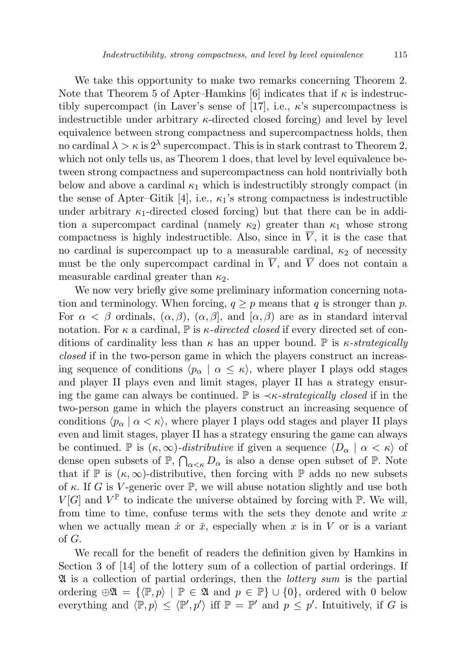We take this opportunity to make two remarks concerning Theorem 2. Note that Theorem 5 of Apter–Hamkins [6] indicates that if  $\kappa$  is indestructibly supercompact (in Laver's sense of [17], i.e.,  $\kappa$ 's supercompactness is indestructible under arbitrary  $\kappa$ -directed closed forcing) and level by level equivalence between strong compactness and supercompactness holds, then no cardinal  $\lambda > \kappa$  is  $2^{\lambda}$  supercompact. This is in stark contrast to Theorem 2, which not only tells us, as Theorem 1 does, that level by level equivalence between strong compactness and supercompactness can hold nontrivially both below and above a cardinal  $\kappa_1$  which is indestructibly strongly compact (in the sense of Apter–Gitik [4], i.e.,  $\kappa_1$ 's strong compactness is indestructible under arbitrary  $\kappa_1$ -directed closed forcing) but that there can be in addition a supercompact cardinal (namely  $\kappa_2$ ) greater than  $\kappa_1$  whose strong compactness is highly indestructible. Also, since in  $\overline{V}$ , it is the case that no cardinal is supercompact up to a measurable cardinal,  $\kappa_2$  of necessity must be the only supercompact cardinal in  $\overline{V}$ , and  $\overline{V}$  does not contain a measurable cardinal greater than  $\kappa_2$ .

We now very briefly give some preliminary information concerning notation and terminology. When forcing,  $q \geq p$  means that q is stronger than p. For  $\alpha < \beta$  ordinals,  $(\alpha, \beta)$ ,  $(\alpha, \beta)$ , and  $[\alpha, \beta)$  are as in standard interval notation. For  $\kappa$  a cardinal,  $\mathbb{P}$  is  $\kappa$ -directed closed if every directed set of conditions of cardinality less than  $\kappa$  has an upper bound. P is  $\kappa$ -strategically closed if in the two-person game in which the players construct an increasing sequence of conditions  $\langle p_{\alpha} | \alpha \leq \kappa \rangle$ , where player I plays odd stages and player II plays even and limit stages, player II has a strategy ensuring the game can always be continued. P is  $\prec \kappa\text{-}strategy$  closed if in the two-person game in which the players construct an increasing sequence of conditions  $\langle p_\alpha | \alpha \langle \kappa \rangle$ , where player I plays odd stages and player II plays even and limit stages, player II has a strategy ensuring the game can always be continued. P is  $(\kappa, \infty)$ -distributive if given a sequence  $\langle D_{\alpha} | \alpha \langle \kappa \rangle$  of dense open subsets of  $\mathbb{P}, \bigcap_{\alpha < \kappa} D_{\alpha}$  is also a dense open subset of  $\mathbb{P}$ . Note that if  $\mathbb P$  is  $(\kappa,\infty)$ -distributive, then forcing with  $\mathbb P$  adds no new subsets of  $\kappa$ . If G is V-generic over  $\mathbb{P}$ , we will abuse notation slightly and use both  $V[G]$  and  $V^{\mathbb{P}}$  to indicate the universe obtained by forcing with  $\mathbb{P}$ . We will, from time to time, confuse terms with the sets they denote and write  $x$ when we actually mean  $\dot{x}$  or  $\ddot{x}$ , especially when x is in V or is a variant of G.

We recall for the benefit of readers the definition given by Hamkins in Section 3 of [14] of the lottery sum of a collection of partial orderings. If  $\mathfrak A$  is a collection of partial orderings, then the *lottery sum* is the partial ordering  $\oplus \mathfrak{A} = {\{\langle \mathbb{P}, p \rangle \mid \mathbb{P} \in \mathfrak{A} \text{ and } p \in \mathbb{P} \} \cup \{0\},\}$  ordered with 0 below everything and  $\langle \mathbb{P}, p \rangle \leq \langle \mathbb{P}', p' \rangle$  iff  $\mathbb{P} = \mathbb{P}'$  and  $p \leq p'$ . Intuitively, if G is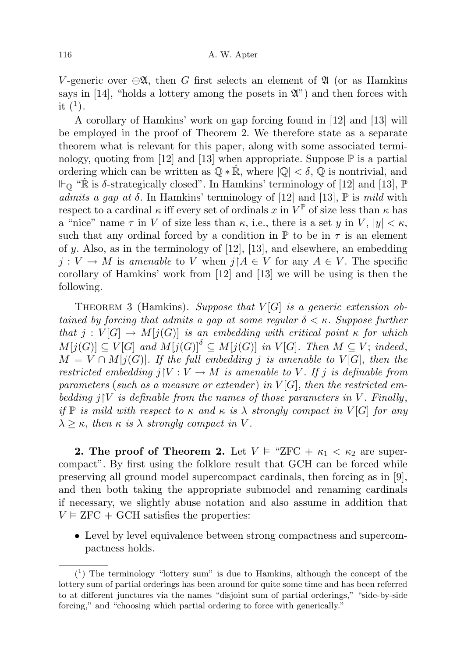V-generic over  $\oplus \mathfrak{A}$ , then G first selects an element of  $\mathfrak{A}$  (or as Hamkins says in [14], "holds a lottery among the posets in  $\mathfrak{X}$ ") and then forces with it  $(1)$ .

A corollary of Hamkins' work on gap forcing found in [12] and [13] will be employed in the proof of Theorem 2. We therefore state as a separate theorem what is relevant for this paper, along with some associated terminology, quoting from [12] and [13] when appropriate. Suppose  $\mathbb P$  is a partial ordering which can be written as  $\mathbb{Q} * \mathbb{R}$ , where  $|\mathbb{Q}| < \delta$ ,  $\mathbb{Q}$  is nontrivial, and  $\Vdash_{\mathbb{Q}}$  " $\dot{\mathbb{R}}$  is  $\delta$ -strategically closed". In Hamkins' terminology of [12] and [13],  $\mathbb{P}$ admits a gap at  $\delta$ . In Hamkins' terminology of [12] and [13],  $\mathbb P$  is mild with respect to a cardinal  $\kappa$  iff every set of ordinals x in  $V^{\mathbb{P}}$  of size less than  $\kappa$  has a "nice" name  $\tau$  in V of size less than  $\kappa$ , i.e., there is a set y in V,  $|y| < \kappa$ , such that any ordinal forced by a condition in  $\mathbb P$  to be in  $\tau$  is an element of  $y$ . Also, as in the terminology of [12], [13], and elsewhere, an embedding  $j : \overline{V} \to \overline{M}$  is amenable to  $\overline{V}$  when  $j \nvert A \in \overline{V}$  for any  $A \in \overline{V}$ . The specific corollary of Hamkins' work from [12] and [13] we will be using is then the following.

THEOREM 3 (Hamkins). Suppose that  $V[G]$  is a generic extension obtained by forcing that admits a gap at some regular  $\delta < \kappa$ . Suppose further that  $j: V[G] \to M[j(G)]$  is an embedding with critical point  $\kappa$  for which  $M[j(G)] \subseteq V[G]$  and  $M[j(G)]^{\delta} \subseteq M[j(G)]$  in  $V[G]$ . Then  $M \subseteq V$ ; indeed,  $M = V \cap M[j(G)]$ . If the full embedding j is amenable to  $V[G]$ , then the restricted embedding  $j|V:V \to M$  is amenable to V. If j is definable from parameters (such as a measure or extender) in  $V[G]$ , then the restricted embedding  $j|V$  is definable from the names of those parameters in V. Finally, if  $\mathbb P$  is mild with respect to  $\kappa$  and  $\kappa$  is  $\lambda$  strongly compact in  $V[G]$  for any  $\lambda \geq \kappa$ , then  $\kappa$  is  $\lambda$  strongly compact in V.

**2.** The proof of Theorem 2. Let  $V \models$  "ZFC +  $\kappa_1 < \kappa_2$  are supercompact". By first using the folklore result that GCH can be forced while preserving all ground model supercompact cardinals, then forcing as in [9], and then both taking the appropriate submodel and renaming cardinals if necessary, we slightly abuse notation and also assume in addition that  $V \models ZFC + GCH$  satisfies the properties:

• Level by level equivalence between strong compactness and supercompactness holds.

 $(1)$  The terminology "lottery sum" is due to Hamkins, although the concept of the lottery sum of partial orderings has been around for quite some time and has been referred to at different junctures via the names "disjoint sum of partial orderings," "side-by-side forcing," and "choosing which partial ordering to force with generically."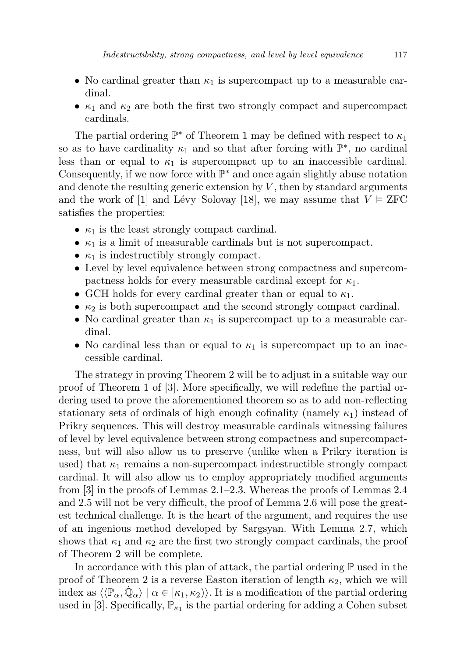- No cardinal greater than  $\kappa_1$  is supercompact up to a measurable cardinal.
- $\kappa_1$  and  $\kappa_2$  are both the first two strongly compact and supercompact cardinals.

The partial ordering  $\mathbb{P}^*$  of Theorem 1 may be defined with respect to  $\kappa_1$ so as to have cardinality  $\kappa_1$  and so that after forcing with  $\mathbb{P}^*$ , no cardinal less than or equal to  $\kappa_1$  is supercompact up to an inaccessible cardinal. Consequently, if we now force with  $\mathbb{P}^*$  and once again slightly abuse notation and denote the resulting generic extension by  $V$ , then by standard arguments and the work of [1] and Lévy–Solovay [18], we may assume that  $V \models ZFC$ satisfies the properties:

- $\kappa_1$  is the least strongly compact cardinal.
- $\kappa_1$  is a limit of measurable cardinals but is not supercompact.
- $\kappa_1$  is indestructibly strongly compact.
- Level by level equivalence between strong compactness and supercompactness holds for every measurable cardinal except for  $\kappa_1$ .
- GCH holds for every cardinal greater than or equal to  $\kappa_1$ .
- $\kappa_2$  is both supercompact and the second strongly compact cardinal.
- No cardinal greater than  $\kappa_1$  is supercompact up to a measurable cardinal.
- No cardinal less than or equal to  $\kappa_1$  is supercompact up to an inaccessible cardinal.

The strategy in proving Theorem 2 will be to adjust in a suitable way our proof of Theorem 1 of [3]. More specifically, we will redefine the partial ordering used to prove the aforementioned theorem so as to add non-reflecting stationary sets of ordinals of high enough cofinality (namely  $\kappa_1$ ) instead of Prikry sequences. This will destroy measurable cardinals witnessing failures of level by level equivalence between strong compactness and supercompactness, but will also allow us to preserve (unlike when a Prikry iteration is used) that  $\kappa_1$  remains a non-supercompact indestructible strongly compact cardinal. It will also allow us to employ appropriately modified arguments from [3] in the proofs of Lemmas 2.1–2.3. Whereas the proofs of Lemmas 2.4 and 2.5 will not be very difficult, the proof of Lemma 2.6 will pose the greatest technical challenge. It is the heart of the argument, and requires the use of an ingenious method developed by Sargsyan. With Lemma 2.7, which shows that  $\kappa_1$  and  $\kappa_2$  are the first two strongly compact cardinals, the proof of Theorem 2 will be complete.

In accordance with this plan of attack, the partial ordering  $\mathbb P$  used in the proof of Theorem 2 is a reverse Easton iteration of length  $\kappa_2$ , which we will index as  $\langle \langle \mathbb{P}_{\alpha}, \dot{\mathbb{Q}}_{\alpha} \rangle \mid \alpha \in [\kappa_1, \kappa_2] \rangle$ . It is a modification of the partial ordering used in [3]. Specifically,  $\mathbb{P}_{\kappa_1}$  is the partial ordering for adding a Cohen subset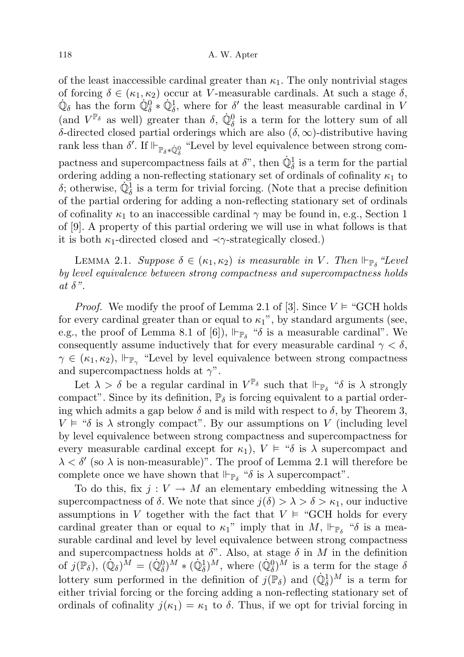of the least inaccessible cardinal greater than  $\kappa_1$ . The only nontrivial stages of forcing  $\delta \in (\kappa_1, \kappa_2)$  occur at V-measurable cardinals. At such a stage  $\delta$ ,  $\dot{\mathbb{Q}}_{\delta}$  has the form  $\dot{\mathbb{Q}}_{\delta}^0 * \dot{\mathbb{Q}}_{\delta}^1$ , where for  $\delta'$  the least measurable cardinal in V (and  $V^{\mathbb{P}_{\delta}}$  as well) greater than  $\delta$ ,  $\dot{\mathbb{Q}}_{\delta}^{0}$  is a term for the lottery sum of all δ-directed closed partial orderings which are also (δ, ∞)-distributive having rank less than  $\delta'.$  If  $\Vdash_{\mathbb{P}_\delta * \dot{\mathbb{Q}}^0_\delta}$  "Level by level equivalence between strong compactness and supercompactness fails at  $\delta$ ", then  $\dot{\mathbb{Q}}_{\delta}^1$  is a term for the partial ordering adding a non-reflecting stationary set of ordinals of cofinality  $\kappa_1$  to δ; otherwise,  $\dot{\mathbb{Q}}_{\delta}^1$  is a term for trivial forcing. (Note that a precise definition of the partial ordering for adding a non-reflecting stationary set of ordinals of cofinality  $\kappa_1$  to an inaccessible cardinal  $\gamma$  may be found in, e.g., Section 1 of [9]. A property of this partial ordering we will use in what follows is that it is both  $\kappa_1$ -directed closed and  $\prec \gamma$ -strategically closed.)

LEMMA 2.1. Suppose  $\delta \in (\kappa_1, \kappa_2)$  is measurable in V. Then  $\Vdash_{\mathbb{P}_{\delta}}$  "Level by level equivalence between strong compactness and supercompactness holds at  $\delta$ ".

*Proof.* We modify the proof of Lemma 2.1 of [3]. Since  $V \models \text{``GCH holds}$ for every cardinal greater than or equal to  $\kappa_1$ ", by standard arguments (see, e.g., the proof of Lemma 8.1 of [6]),  $\Vdash_{\mathbb{P}_{\delta}}$  " $\delta$  is a measurable cardinal". We consequently assume inductively that for every measurable cardinal  $\gamma < \delta$ ,  $\gamma \in (\kappa_1, \kappa_2)$ ,  $\Vdash_{\mathbb{P}_{\gamma}}$  "Level by level equivalence between strong compactness and supercompactness holds at  $\gamma$ ".

Let  $\lambda > \delta$  be a regular cardinal in  $V^{\mathbb{P}_{\delta}}$  such that  $\Vdash_{\mathbb{P}_{\delta}}$  " $\delta$  is  $\lambda$  strongly compact". Since by its definition,  $\mathbb{P}_{\delta}$  is forcing equivalent to a partial ordering which admits a gap below  $\delta$  and is mild with respect to  $\delta$ , by Theorem 3,  $V \models ``\delta$  is  $\lambda$  strongly compact". By our assumptions on V (including level by level equivalence between strong compactness and supercompactness for every measurable cardinal except for  $\kappa_1$ ),  $V \models$  " $\delta$  is  $\lambda$  supercompact and  $\lambda < \delta'$  (so  $\lambda$  is non-measurable)". The proof of Lemma 2.1 will therefore be complete once we have shown that  $\Vdash_{\mathbb{P}_{\delta}}$  " $\delta$  is  $\lambda$  supercompact".

To do this, fix  $j: V \to M$  an elementary embedding witnessing the  $\lambda$ supercompactness of  $\delta$ . We note that since  $j(\delta) > \lambda > \delta > \kappa_1$ , our inductive assumptions in V together with the fact that  $V \models \text{``GCH holds for every}$ cardinal greater than or equal to  $\kappa_1$ " imply that in M,  $\Vdash_{\mathbb{P}_\delta}$  " $\delta$  is a measurable cardinal and level by level equivalence between strong compactness and supercompactness holds at  $\delta$ ". Also, at stage  $\delta$  in M in the definition of  $j(\mathbb{P}_{\delta})$ ,  $(\dot{\mathbb{Q}}_{\delta})^{\tilde{M}} = (\dot{\mathbb{Q}}_{\delta}^{0})^{M} * (\dot{\mathbb{Q}}_{\delta}^{1})^{M}$ , where  $(\dot{\mathbb{Q}}_{\delta}^{0})^{\tilde{M}}$  is a term for the stage  $\delta$ lottery sum performed in the definition of  $j(\mathbb{P}_{\delta})$  and  $(\dot{\mathbb{Q}}_{\delta}^1)^M$  is a term for either trivial forcing or the forcing adding a non-reflecting stationary set of ordinals of cofinality  $j(\kappa_1) = \kappa_1$  to  $\delta$ . Thus, if we opt for trivial forcing in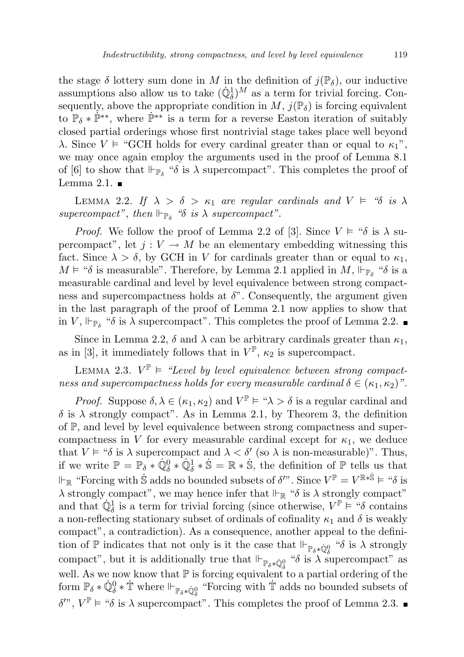the stage  $\delta$  lottery sum done in M in the definition of  $j(\mathbb{P}_{\delta})$ , our inductive assumptions also allow us to take  $(\dot{\mathbb{Q}}_{\delta}^1)^M$  as a term for trivial forcing. Consequently, above the appropriate condition in  $M$ ,  $j(\mathbb{P}_{\delta})$  is forcing equivalent to  $\mathbb{P}_{\delta} * \mathbb{P}^{**}$ , where  $\mathbb{P}^{**}$  is a term for a reverse Easton iteration of suitably closed partial orderings whose first nontrivial stage takes place well beyond λ. Since  $V \models$  "GCH holds for every cardinal greater than or equal to  $\kappa_1$ ", we may once again employ the arguments used in the proof of Lemma 8.1 of [6] to show that  $\Vdash_{\mathbb{P}_\delta}$  " $\delta$  is  $\lambda$  supercompact". This completes the proof of Lemma 2.1.  $\blacksquare$ 

LEMMA 2.2. If  $\lambda > \delta > \kappa_1$  are regular cardinals and  $V \models$  " $\delta$  is  $\lambda$ supercompact", then  $\Vdash_{\mathbb{P}_{\delta}}$  " $\delta$  is  $\lambda$  supercompact".

*Proof.* We follow the proof of Lemma 2.2 of [3]. Since  $V \models ``\delta$  is  $\lambda$  supercompact", let  $j: V \to M$  be an elementary embedding witnessing this fact. Since  $\lambda > \delta$ , by GCH in V for cardinals greater than or equal to  $\kappa_1$ ,  $M \models \text{``$\delta$ is measurable''}.$  Therefore, by Lemma 2.1 applied in  $M$ ,  $\Vdash_{\mathbb{P}_\delta}$  " $\delta$  is a measurable cardinal and level by level equivalence between strong compactness and supercompactness holds at  $\delta$ ". Consequently, the argument given in the last paragraph of the proof of Lemma 2.1 now applies to show that in V,  $\Vdash_{\mathbb{P}_{\delta}}$  " $\delta$  is  $\lambda$  supercompact". This completes the proof of Lemma 2.2.

Since in Lemma 2.2,  $\delta$  and  $\lambda$  can be arbitrary cardinals greater than  $\kappa_1$ , as in [3], it immediately follows that in  $V^{\mathbb{P}}, \kappa_2$  is supercompact.

LEMMA 2.3.  $V^{\mathbb{P}} \models$  "Level by level equivalence between strong compactness and supercompactness holds for every measurable cardinal  $\delta \in (\kappa_1, \kappa_2)$ ".

*Proof.* Suppose  $\delta, \lambda \in (\kappa_1, \kappa_2)$  and  $V^{\mathbb{P}} \models \mathfrak{A} > \delta$  is a regular cardinal and  $\delta$  is  $\lambda$  strongly compact". As in Lemma 2.1, by Theorem 3, the definition of P, and level by level equivalence between strong compactness and supercompactness in V for every measurable cardinal except for  $\kappa_1$ , we deduce that  $V \models ``\delta$  is  $\lambda$  supercompact and  $\lambda < \delta'$  (so  $\lambda$  is non-measurable)". Thus, if we write  $\mathbb{P} = \mathbb{P}_{\delta} * \dot{\mathbb{Q}}_{\delta}^0 * \dot{\mathbb{Q}}_{\delta}^1 * \dot{\mathbb{S}} = \mathbb{R} * \dot{\mathbb{S}},$  the definition of  $\mathbb{P}$  tells us that  $\Vdash_{\mathbb{R}}$  "Forcing with St adds no bounded subsets of  $\delta$ ". Since  $V^{\mathbb{P}} = V^{\mathbb{R} * \dot{\mathbb{S}}} \models$  " $\delta$  is  $\lambda$  strongly compact", we may hence infer that  $\Vdash_{\mathbb{R}}$  " $\delta$  is  $\lambda$  strongly compact" and that  $\mathbb{Q}^1_{\delta}$  is a term for trivial forcing (since otherwise,  $V^{\mathbb{P}} \vDash ``\delta$  contains a non-reflecting stationary subset of ordinals of cofinality  $\kappa_1$  and  $\delta$  is weakly compact", a contradiction). As a consequence, another appeal to the definition of  $\mathbb P$  indicates that not only is it the case that  $\Vdash_{\mathbb P_\delta * \dot{\mathbb Q}^0_\delta}$  " $\delta$  is  $\lambda$  strongly compact", but it is additionally true that  $\Vdash_{\mathbb{P}_{\delta} * \dot{\mathbb{Q}}_{\delta}^0}$  " $\delta$  is  $\lambda$  supercompact" as well. As we now know that  $\mathbb P$  is forcing equivalent to a partial ordering of the form  $\mathbb{P}_{\delta} * \dot{\mathbb{Q}}_{\delta}^0 * \dot{\mathbb{T}}$  where  $\Vdash_{\mathbb{P}_{\delta} * \dot{\mathbb{Q}}_{\delta}^0}$  "Forcing with  $\dot{\mathbb{T}}$  adds no bounded subsets of  $\delta^{\prime\prime\prime}, V^{\mathbb{P}} \models \text{``$\delta$ is $\lambda$ supercompact''}.$  This completes the proof of Lemma 2.3.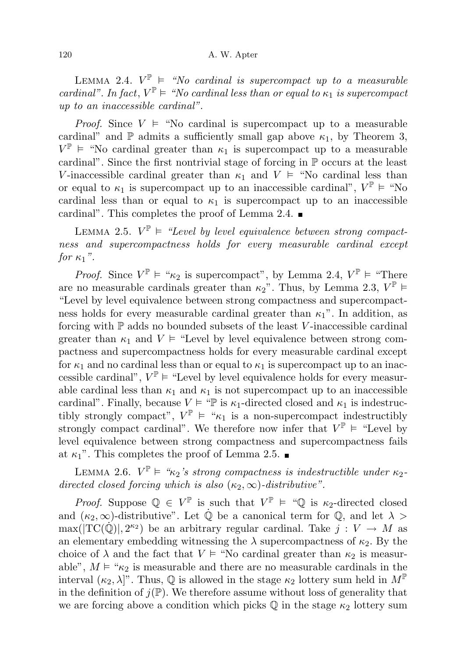LEMMA 2.4.  $V^{\mathbb{P}}$  = "No cardinal is supercompact up to a measurable cardinal". In fact,  $V^{\mathbb{P}} \models$  "No cardinal less than or equal to  $\kappa_1$  is supercompact up to an inaccessible cardinal".

*Proof.* Since  $V \models$  "No cardinal is supercompact up to a measurable cardinal" and  $\mathbb P$  admits a sufficiently small gap above  $\kappa_1$ , by Theorem 3,  $V^{\mathbb{P}}$  = "No cardinal greater than  $\kappa_1$  is supercompact up to a measurable cardinal". Since the first nontrivial stage of forcing in  $\mathbb P$  occurs at the least V-inaccessible cardinal greater than  $\kappa_1$  and  $V \models$  "No cardinal less than or equal to  $\kappa_1$  is supercompact up to an inaccessible cardinal",  $V^{\mathbb{P}} \models$  "No cardinal less than or equal to  $\kappa_1$  is supercompact up to an inaccessible cardinal". This completes the proof of Lemma 2.4.  $\blacksquare$ 

LEMMA 2.5.  $V^{\mathbb{P}} \models$  "Level by level equivalence between strong compactness and supercompactness holds for every measurable cardinal except for  $\kappa_1$ ".

*Proof.* Since  $V^{\mathbb{P}} \models \text{``}\kappa_2$  is supercompact", by Lemma 2.4,  $V^{\mathbb{P}} \models \text{``There}$ are no measurable cardinals greater than  $\kappa_2$ ". Thus, by Lemma 2.3,  $V^{\mathbb{P}}$ "Level by level equivalence between strong compactness and supercompactness holds for every measurable cardinal greater than  $\kappa_1$ ". In addition, as forcing with  $\mathbb P$  adds no bounded subsets of the least V-inaccessible cardinal greater than  $\kappa_1$  and  $V \models$  "Level by level equivalence between strong compactness and supercompactness holds for every measurable cardinal except for  $\kappa_1$  and no cardinal less than or equal to  $\kappa_1$  is supercompact up to an inaccessible cardinal",  $V^{\mathbb{P}} \models$  "Level by level equivalence holds for every measurable cardinal less than  $\kappa_1$  and  $\kappa_1$  is not supercompact up to an inaccessible cardinal". Finally, because  $V \models \text{``P is } \kappa_1$ -directed closed and  $\kappa_1$  is indestructibly strongly compact",  $V^{\mathbb{P}} \models \text{``}\kappa_1$  is a non-supercompact indestructibly strongly compact cardinal". We therefore now infer that  $V^{\mathbb{P}} \models$  "Level by level equivalence between strong compactness and supercompactness fails at  $\kappa_1$ ". This completes the proof of Lemma 2.5.

LEMMA 2.6.  $V^{\mathbb{P}} \models \text{``}\kappa_2 \text{''s strong compactness is indestructible under } \kappa_2$ directed closed forcing which is also  $(\kappa_2, \infty)$ -distributive".

*Proof.* Suppose  $\mathbb{Q} \in V^{\mathbb{P}}$  is such that  $V^{\mathbb{P}} \models \text{``}\mathbb{Q}$  is  $\kappa_2$ -directed closed and  $(\kappa_2, \infty)$ -distributive". Let  $\dot{\mathbb{Q}}$  be a canonical term for  $\mathbb{Q}$ , and let  $\lambda >$  $\max(|TC(\dot{Q})|, 2^{\kappa_2})$  be an arbitrary regular cardinal. Take  $j: V \to M$  as an elementary embedding witnessing the  $\lambda$  supercompactness of  $\kappa_2$ . By the choice of  $\lambda$  and the fact that  $V \vDash$  "No cardinal greater than  $\kappa_2$  is measurable",  $M \models \mathcal{K}_2$  is measurable and there are no measurable cardinals in the interval  $(\kappa_2, \lambda]$ ". Thus,  $\mathbb Q$  is allowed in the stage  $\kappa_2$  lottery sum held in  $M^{\mathbb P}$ in the definition of  $j(\mathbb{P})$ . We therefore assume without loss of generality that we are forcing above a condition which picks  $\mathbb Q$  in the stage  $\kappa_2$  lottery sum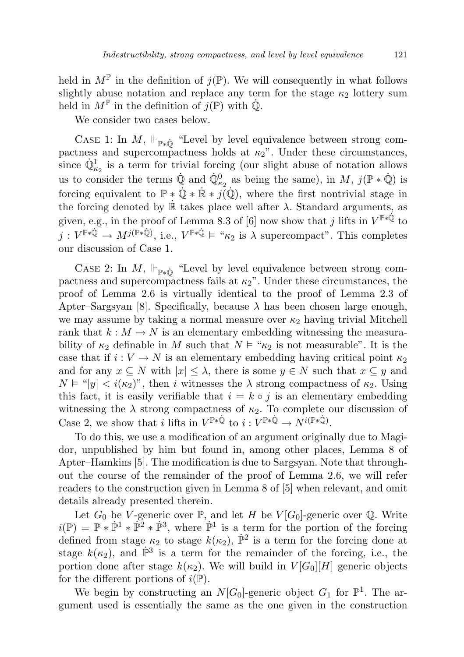held in  $M^{\mathbb{P}}$  in the definition of  $j(\mathbb{P})$ . We will consequently in what follows slightly abuse notation and replace any term for the stage  $\kappa_2$  lottery sum held in  $M^{\mathbb{P}}$  in the definition of  $j(\mathbb{P})$  with  $\dot{\mathbb{Q}}$ .

We consider two cases below.

CASE 1: In  $M$ ,  $\Vdash_{\mathbb{P} * \dot{\mathbb{Q}}}$  "Level by level equivalence between strong compactness and supercompactness holds at  $\kappa_2$ ". Under these circumstances, since  $\dot{\mathbb{Q}}_{\kappa_2}^1$  is a term for trivial forcing (our slight abuse of notation allows us to consider the terms  $\dot{\mathbb{Q}}$  and  $\dot{\mathbb{Q}}_{\kappa_2}^0$  as being the same), in M,  $j(\mathbb{P} * \dot{\mathbb{Q}})$  is forcing equivalent to  $\mathbb{P} * \dot{\mathbb{Q}} * \dot{\mathbb{R}} * j(\dot{\mathbb{Q}})$ , where the first nontrivial stage in the forcing denoted by  $\mathbb R$  takes place well after  $\lambda$ . Standard arguments, as given, e.g., in the proof of Lemma 8.3 of [6] now show that j lifts in  $V^{\mathbb{P}*\dot{\mathbb{Q}}}$  to  $j: V^{\mathbb{P} * \dot{\mathbb{Q}}}\to M^{j(\mathbb{P} * \dot{\mathbb{Q}})}$ , i.e.,  $V^{\mathbb{P} * \dot{\mathbb{Q}}}\models \text{``}\kappa_2$  is  $\lambda$  supercompact". This completes our discussion of Case 1.

CASE 2: In M,  $\Vdash_{\mathbb{P}*\dot{\mathbb{O}}}$  "Level by level equivalence between strong compactness and supercompactness fails at  $\kappa_2$ ". Under these circumstances, the proof of Lemma 2.6 is virtually identical to the proof of Lemma 2.3 of Apter–Sargsyan [8]. Specifically, because  $\lambda$  has been chosen large enough, we may assume by taking a normal measure over  $\kappa_2$  having trivial Mitchell rank that  $k : M \to N$  is an elementary embedding witnessing the measurability of  $\kappa_2$  definable in M such that  $N \vDash \kappa_2$  is not measurable". It is the case that if  $i: V \to N$  is an elementary embedding having critical point  $\kappa_2$ and for any  $x \subseteq N$  with  $|x| \leq \lambda$ , there is some  $y \in N$  such that  $x \subseteq y$  and  $N \models "|y| < i(\kappa_2)$ ", then i witnesses the  $\lambda$  strong compactness of  $\kappa_2$ . Using this fact, it is easily verifiable that  $i = k \circ j$  is an elementary embedding witnessing the  $\lambda$  strong compactness of  $\kappa_2$ . To complete our discussion of Case 2, we show that i lifts in  $V^{\mathbb{P} * \mathbb{Q}}$  to  $i: V^{\mathbb{P} * \mathbb{Q}} \to N^{i(\mathbb{P} * \mathbb{Q})}$ .

To do this, we use a modification of an argument originally due to Magidor, unpublished by him but found in, among other places, Lemma 8 of Apter–Hamkins [5]. The modification is due to Sargsyan. Note that throughout the course of the remainder of the proof of Lemma 2.6, we will refer readers to the construction given in Lemma 8 of [5] when relevant, and omit details already presented therein.

Let  $G_0$  be V-generic over  $\mathbb{P}$ , and let H be  $V[G_0]$ -generic over  $\mathbb{Q}$ . Write  $i(\mathbb{P}) = \mathbb{P} * \dot{\mathbb{P}}^1 * \dot{\mathbb{P}}^2 * \dot{\mathbb{P}}^3$ , where  $\dot{\mathbb{P}}^1$  is a term for the portion of the forcing defined from stage  $\kappa_2$  to stage  $k(\kappa_2)$ ,  $\dot{P}^2$  is a term for the forcing done at stage  $k(\kappa_2)$ , and  $\mathbb{P}^3$  is a term for the remainder of the forcing, i.e., the portion done after stage  $k(\kappa_2)$ . We will build in  $V[G_0][H]$  generic objects for the different portions of  $i(\mathbb{P})$ .

We begin by constructing an  $N[G_0]$ -generic object  $G_1$  for  $\mathbb{P}^1$ . The argument used is essentially the same as the one given in the construction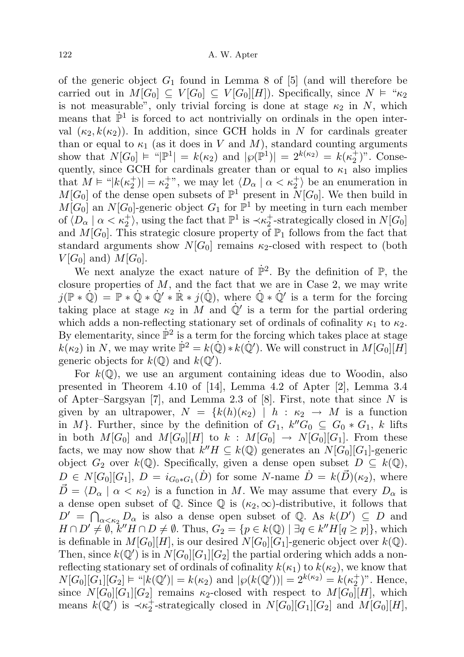of the generic object  $G_1$  found in Lemma 8 of [5] (and will therefore be carried out in  $M[G_0] \subseteq V[G_0] \subseteq V[G_0][H]$ ). Specifically, since  $N \models {\cal K}_2$ is not measurable", only trivial forcing is done at stage  $\kappa_2$  in N, which means that  $\mathbb{P}^1$  is forced to act nontrivially on ordinals in the open interval  $(\kappa_2, k(\kappa_2))$ . In addition, since GCH holds in N for cardinals greater than or equal to  $\kappa_1$  (as it does in V and M), standard counting arguments show that  $N[G_0] \models "|\mathbb{P}^1| = k(\kappa_2)$  and  $|\wp(\mathbb{P}^1)| = 2^{k(\kappa_2)} = k(\kappa_2^+)^n$ . Consequently, since GCH for cardinals greater than or equal to  $\kappa_1$  also implies that  $M \vDash "|k(\kappa_2^+)| = \kappa_2^+$ ", we may let  $\langle D_\alpha | \alpha < \kappa_2^+ \rangle$  be an enumeration in  $M[G_0]$  of the dense open subsets of  $\mathbb{P}^1$  present in  $N[G_0]$ . We then build in  $M[G_0]$  an  $N[G_0]$ -generic object  $G_1$  for  $\mathbb{P}^1$  by meeting in turn each member of  $\langle D_\alpha | \alpha < \kappa_2^+ \rangle$ , using the fact that  $\mathbb{P}^1$  is  $\prec \kappa_2^+$ -strategically closed in  $N[G_0]$ and  $M[G_0]$ . This strategic closure property of  $\mathbb{P}_1$  follows from the fact that standard arguments show  $N[G_0]$  remains  $\kappa_2$ -closed with respect to (both  $V[G_0]$  and)  $M[G_0]$ .

We next analyze the exact nature of  $\mathbb{P}^2$ . By the definition of  $\mathbb{P}$ , the closure properties of  $M$ , and the fact that we are in Case 2, we may write  $j(\mathbb{P} * \dot{\mathbb{Q}}) = \mathbb{P} * \dot{\mathbb{Q}} * \dot{\mathbb{Q}}' * \dot{\mathbb{R}} * j(\dot{\mathbb{Q}})$ , where  $\dot{\mathbb{Q}} * \dot{\mathbb{Q}}'$  is a term for the forcing taking place at stage  $\kappa_2$  in M and  $\dot{\mathbb{Q}}'$  is a term for the partial ordering which adds a non-reflecting stationary set of ordinals of cofinality  $\kappa_1$  to  $\kappa_2$ . By elementarity, since  $\mathbb{P}^2$  is a term for the forcing which takes place at stage  $k(\kappa_2)$  in N, we may write  $\mathbb{P}^2 = k(\mathbb{Q}) * k(\mathbb{Q}')$ . We will construct in  $M[G_0][H]$ generic objects for  $k(\mathbb{Q})$  and  $k(\mathbb{Q}')$ .

For  $k(\mathbb{Q})$ , we use an argument containing ideas due to Woodin, also presented in Theorem 4.10 of [14], Lemma 4.2 of Apter [2], Lemma 3.4 of Apter–Sargsyan [7], and Lemma 2.3 of [8]. First, note that since  $N$  is given by an ultrapower,  $N = \{k(h)(\kappa_2) \mid h : \kappa_2 \to M \text{ is a function}\}$ in M}. Further, since by the definition of  $G_1$ ,  $k''G_0 \subseteq G_0 * G_1$ , k lifts in both  $M[G_0]$  and  $M[G_0][H]$  to  $k : M[G_0] \to N[G_0][G_1]$ . From these facts, we may now show that  $k''H \subseteq k(\mathbb{Q})$  generates an  $N[G_0][G_1]$ -generic object  $G_2$  over  $k(\mathbb{Q})$ . Specifically, given a dense open subset  $D \subseteq k(\mathbb{Q})$ ,  $D \in N[G_0][G_1], D = i_{G_0 * G_1}(\dot{D})$  for some N-name  $\dot{D} = k(\vec{D})(\kappa_2)$ , where  $\vec{D} = \langle D_\alpha | \alpha < \kappa_2 \rangle$  is a function in M. We may assume that every  $D_\alpha$  is a dense open subset of  $\mathbb Q$ . Since  $\mathbb Q$  is  $(\kappa_2, \infty)$ -distributive, it follows that  $D' = \bigcap_{\alpha \leq \kappa_2} D_\alpha$  is also a dense open subset of Q. As  $k(D') \subseteq D$  and  $H \cap D' \neq \emptyset$ ,  $k''H \cap D \neq \emptyset$ . Thus,  $G_2 = \{p \in k(\mathbb{Q}) \mid \exists q \in k'' H [q \geq p]\},\$  which is definable in  $M[G_0][H]$ , is our desired  $N[G_0][G_1]$ -generic object over  $k(\mathbb{Q})$ . Then, since  $k(\mathbb{Q}')$  is in  $N[G_0][G_1][G_2]$  the partial ordering which adds a nonreflecting stationary set of ordinals of cofinality  $k(\kappa_1)$  to  $k(\kappa_2)$ , we know that  $N[G_0][G_1][G_2] \models "|k(\mathbb{Q}')| = k(\kappa_2)$  and  $|\wp(k(\mathbb{Q}'))| = 2^{k(\kappa_2)} = k(\kappa_2^+)^n$ . Hence, since  $N[G_0][G_1][G_2]$  remains  $\kappa_2$ -closed with respect to  $M[G_0][H]$ , which means  $k(\mathbb{Q}')$  is  $\prec \kappa_2^+$ -strategically closed in  $N[G_0][G_1][G_2]$  and  $M[G_0][H]$ ,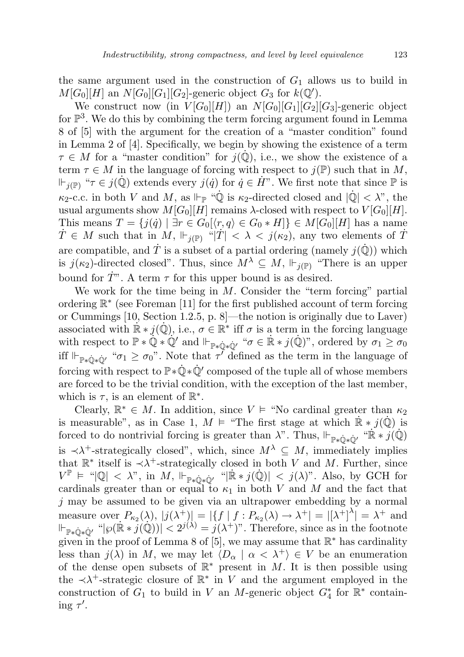the same argument used in the construction of  $G_1$  allows us to build in  $M[G_0][H]$  an  $N[G_0][G_1][G_2]$ -generic object  $G_3$  for  $k(\mathbb{Q}')$ .

We construct now (in  $V[G_0][H]$ ) an  $N[G_0][G_1][G_2][G_3]$ -generic object for  $\mathbb{P}^3$ . We do this by combining the term forcing argument found in Lemma 8 of [5] with the argument for the creation of a "master condition" found in Lemma 2 of [4]. Specifically, we begin by showing the existence of a term  $\tau \in M$  for a "master condition" for  $j(\mathbb{Q})$ , i.e., we show the existence of a term  $\tau \in M$  in the language of forcing with respect to  $j(\mathbb{P})$  such that in M,  $\mathbb{F}_{i(\mathbb{P})}$  " $\tau \in j(\mathbb{Q})$  extends every  $j(\dot{q})$  for  $\dot{q} \in \dot{H}$ ". We first note that since  $\mathbb P$  is  $\kappa_2$ -c.c. in both V and M, as  $\Vdash_{\mathbb{P}}$  " $\dot{\mathbb{Q}}$  is  $\kappa_2$ -directed closed and  $|\dot{\mathbb{Q}}| < \lambda$ ", the usual arguments show  $M[G_0][H]$  remains  $\lambda$ -closed with respect to  $V[G_0][H]$ . This means  $T = \{j(\dot{q}) \mid \exists r \in G_0[\langle r, q \rangle \in G_0 * H] \} \in M[G_0][H]$  has a name  $\dot{T} \in M$  such that in  $M$ ,  $\Vdash_{j(\mathbb{P})}$  " $|\dot{T}| < \lambda < j(\kappa_2)$ , any two elements of  $\dot{T}$ are compatible, and  $\dot{T}$  is a subset of a partial ordering (namely  $j(\dot{Q})$ ) which is  $j(\kappa_2)$ -directed closed". Thus, since  $M^{\lambda} \subseteq M$ ,  $\Vdash_{j(\mathbb{P})}$  "There is an upper bound for  $T^{\prime\prime}$ . A term  $\tau$  for this upper bound is as desired.

We work for the time being in  $M$ . Consider the "term forcing" partial ordering R ∗ (see Foreman [11] for the first published account of term forcing or Cummings [10, Section 1.2.5, p. 8]—the notion is originally due to Laver) associated with  $\mathbb{R} * j(\mathbb{Q})$ , i.e.,  $\sigma \in \mathbb{R}^*$  iff  $\sigma$  is a term in the forcing language with respect to  $\mathbb{P} * \mathbb{Q} * \mathbb{Q}'$  and  $\Vdash_{\mathbb{P} * \mathbb{Q} * \mathbb{Q}'} " \sigma \in \mathbb{R} * j(\mathbb{Q})"$ , ordered by  $\sigma_1 \geq \sigma_0$ iff  $\Vdash_{\mathbb{P}\ast\dot{\mathbb{Q}}\ast\dot{\mathbb{Q}}'}$  " $\sigma_1 \geq \sigma_0$ ". Note that  $\tau'$  defined as the term in the language of forcing with respect to  $\mathbb{P} * \dot{\mathbb{Q}} * \dot{\mathbb{Q}}'$  composed of the tuple all of whose members are forced to be the trivial condition, with the exception of the last member, which is  $\tau$ , is an element of  $\mathbb{R}^*$ .

Clearly,  $\mathbb{R}^* \in M$ . In addition, since  $V \models$  "No cardinal greater than  $\kappa_2$ is measurable", as in Case 1,  $M \models$  "The first stage at which  $\mathbb{R} * j(\mathbb{Q})$  is forced to do nontrivial forcing is greater than  $\lambda$ ". Thus,  $\Vdash_{\mathbb{P}*\hat{\mathbb{Q}}*\hat{\mathbb{Q}}'} \text{``}\mathbb{R} * j(\hat{\mathbb{Q}})$ is  $\prec \lambda^+$ -strategically closed", which, since  $M^{\lambda} \subseteq M$ , immediately implies that  $\mathbb{R}^*$  itself is  $\prec \lambda^+$ -strategically closed in both V and M. Further, since  $V^{\mathbb{P}} \models \text{``}|\mathbb{Q}| \prec \lambda$ ", in M,  $\Vdash_{\mathbb{P}*\dot{\mathbb{Q}}*\dot{\mathbb{Q}}'} \text{``}|\dot{\mathbb{R}}*j(\dot{\mathbb{Q}})| \prec j(\lambda)$ ". Also, by GCH for cardinals greater than or equal to  $\kappa_1$  in both V and M and the fact that  $j$  may be assumed to be given via an ultrapower embedding by a normal measure over  $P_{\kappa_2}(\lambda)$ ,  $|j(\lambda^+)| = |\{f \mid f : P_{\kappa_2}(\lambda) \to \lambda^+| = |[\lambda^+]^{\lambda}| = \lambda^+$  and  $\Vdash_{\mathbb{P}*\mathbb{Q}*\mathbb{Q}'}$  " $|\wp(\mathbb{R} * j(\mathbb{Q}))| < 2^{j(\lambda)} = j(\lambda^+)$ ". Therefore, since as in the footnote given in the proof of Lemma 8 of [5], we may assume that  $\mathbb{R}^*$  has cardinality less than  $j(\lambda)$  in M, we may let  $\langle D_{\alpha} | \alpha < \lambda^+ \rangle \in V$  be an enumeration of the dense open subsets of  $\mathbb{R}^*$  present in M. It is then possible using the  $\prec \lambda^+$ -strategic closure of  $\mathbb{R}^*$  in V and the argument employed in the construction of  $G_1$  to build in V an M-generic object  $G_4^*$  for  $\mathbb{R}^*$  containing  $\tau'$ .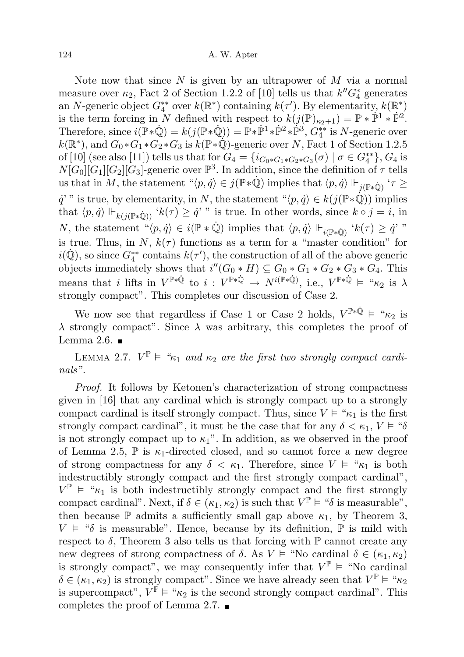Note now that since  $N$  is given by an ultrapower of  $M$  via a normal measure over  $\kappa_2$ , Fact 2 of Section 1.2.2 of [10] tells us that  $k''G_4^*$  generates an N-generic object  $G_4^{**}$  over  $k(\mathbb{R}^*)$  containing  $k(\tau')$ . By elementarity,  $k(\mathbb{R}^*)$ is the term forcing in N defined with respect to  $k(j(\mathbb{P})_{\kappa_2+1}) = \mathbb{P} * \mathbb{P}^1 * \mathbb{P}^2$ . Therefore, since  $i(\overline{\mathbb{P}}*\dot{\mathbb{Q}}) = k(j(\mathbb{P}*\dot{\mathbb{Q}})) = \mathbb{P}*\dot{\mathbb{P}}^1*\dot{\mathbb{P}}^2*\dot{\mathbb{P}}^3$ ,  $G_4^{**}$  is N-generic over  $k(\mathbb{R}^*)$ , and  $G_0 * G_1 * G_2 * G_3$  is  $k(\mathbb{P} * \mathbb{Q})$ -generic over N, Fact 1 of Section 1.2.5 of [10] (see also [11]) tells us that for  $G_4 = \{i_{G_0 * G_1 * G_2 * G_3}(\sigma) \mid \sigma \in G_4^{**}\}\, G_4$  is  $N[G_0][G_1][G_2][G_3]$ -generic over  $\mathbb{P}^3$ . In addition, since the definition of  $\tau$  tells us that in M, the statement " $\langle p, \dot{q} \rangle \in j(\mathbb{P} * \dot{\mathbb{Q}})$  implies that  $\langle p, \dot{q} \rangle \Vdash_{j(\mathbb{P} * \dot{\mathbb{Q}})} \dot{\mathcal{T}} \geq$  $\dot{q}$ <sup>'</sup>" is true, by elementarity, in N, the statement " $\langle p, \dot{q} \rangle \in k(j(\mathbb{P} * \dot{\mathbb{Q}}))$  implies that  $\langle p, \dot{q} \rangle \Vdash_{k(j(\mathbb{P} * \mathbb{Q}))} {}^{\dot{\mathcal{E}}} k(\tau) \geq \dot{q}$ '" is true. In other words, since  $k \circ j = i$ , in N, the statement " $\langle p, \dot{q} \rangle \in i(\mathbb{P} * \dot{\mathbb{Q}})$  implies that  $\langle p, \dot{q} \rangle \Vdash_{i(\mathbb{P} * \dot{\mathbb{Q}})} 'k(\tau) \geq \dot{q}'$ " is true. Thus, in N,  $k(\tau)$  functions as a term for a "master condition" for  $i(\dot{\mathbb{Q}})$ , so since  $G_4^{**}$  contains  $k(\tau')$ , the construction of all of the above generic objects immediately shows that  $i''(G_0 * H) \subseteq G_0 * G_1 * G_2 * G_3 * G_4$ . This means that i lifts in  $V^{\mathbb{P}*\dot{\mathbb{Q}}}$  to  $i: V^{\mathbb{P}*\dot{\mathbb{Q}}}\to N^{i(\mathbb{P}*\dot{\mathbb{Q}})}$ , i.e.,  $V^{\mathbb{P}*\dot{\mathbb{Q}}} \models \text{``}\kappa_2$  is  $\lambda$ strongly compact". This completes our discussion of Case 2.

We now see that regardless if Case 1 or Case 2 holds,  $V^{\mathbb{P}*\dot{\mathbb{Q}}} \models \text{``}\kappa_2$  is  $\lambda$  strongly compact". Since  $\lambda$  was arbitrary, this completes the proof of Lemma 2.6.  $\blacksquare$ 

LEMMA 2.7.  $V^{\mathbb{P}} \models \mathcal{L}_{k_1}$  and  $\kappa_2$  are the first two strongly compact cardinals".

Proof. It follows by Ketonen's characterization of strong compactness given in [16] that any cardinal which is strongly compact up to a strongly compact cardinal is itself strongly compact. Thus, since  $V \models \text{``}\kappa_1$  is the first strongly compact cardinal", it must be the case that for any  $\delta < \kappa_1, V \models$  " $\delta$ is not strongly compact up to  $\kappa_1$ ". In addition, as we observed in the proof of Lemma 2.5,  $\mathbb P$  is  $\kappa_1$ -directed closed, and so cannot force a new degree of strong compactness for any  $\delta < \kappa_1$ . Therefore, since  $V \models \text{``}\kappa_1$  is both indestructibly strongly compact and the first strongly compact cardinal",  $V^{\mathbb{P}} \models \text{``}\kappa_1$  is both indestructibly strongly compact and the first strongly compact cardinal". Next, if  $\delta \in (\kappa_1, \kappa_2)$  is such that  $V^{\mathbb{P}} \models ``\delta$  is measurable", then because  $\mathbb P$  admits a sufficiently small gap above  $\kappa_1$ , by Theorem 3,  $V \models \text{``$\delta$ is measurable''}.$  Hence, because by its definition,  $\mathbb P$  is mild with respect to  $\delta$ , Theorem 3 also tells us that forcing with  $\mathbb P$  cannot create any new degrees of strong compactness of  $\delta$ . As  $V \vDash$  "No cardinal  $\delta \in (\kappa_1, \kappa_2)$ " is strongly compact", we may consequently infer that  $V^{\mathbb{P}} \models$  "No cardinal"  $\delta \in (\kappa_1, \kappa_2)$  is strongly compact". Since we have already seen that  $V^{\mathbb{P}} \models \text{``}\kappa_2$ is supercompact",  $\vec{V}^{\mathbb{P}} \models \alpha_{\kappa_2}$  is the second strongly compact cardinal". This completes the proof of Lemma 2.7.  $\blacksquare$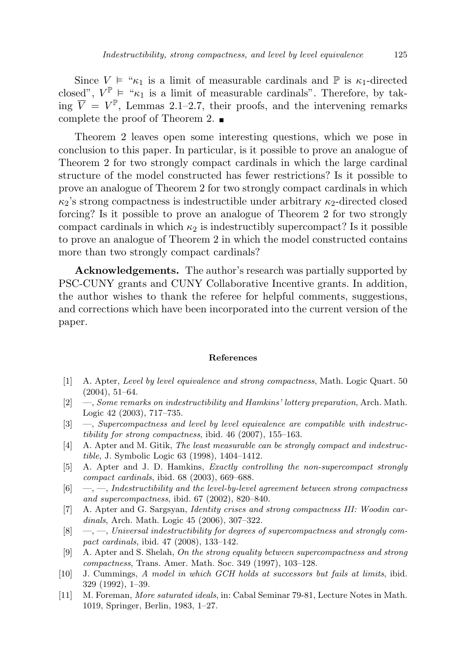Since  $V \models " \kappa_1$  is a limit of measurable cardinals and  $\mathbb P$  is  $\kappa_1$ -directed closed",  $V^{\mathbb{P}} \models \mathcal{K}_1$  is a limit of measurable cardinals". Therefore, by taking  $\overline{V} = V^{\mathbb{P}}$ , Lemmas 2.1–2.7, their proofs, and the intervening remarks complete the proof of Theorem 2.

Theorem 2 leaves open some interesting questions, which we pose in conclusion to this paper. In particular, is it possible to prove an analogue of Theorem 2 for two strongly compact cardinals in which the large cardinal structure of the model constructed has fewer restrictions? Is it possible to prove an analogue of Theorem 2 for two strongly compact cardinals in which  $\kappa_2$ 's strong compactness is indestructible under arbitrary  $\kappa_2$ -directed closed forcing? Is it possible to prove an analogue of Theorem 2 for two strongly compact cardinals in which  $\kappa_2$  is indestructibly supercompact? Is it possible to prove an analogue of Theorem 2 in which the model constructed contains more than two strongly compact cardinals?

Acknowledgements. The author's research was partially supported by PSC-CUNY grants and CUNY Collaborative Incentive grants. In addition, the author wishes to thank the referee for helpful comments, suggestions, and corrections which have been incorporated into the current version of the paper.

## References

- [1] A. Apter, Level by level equivalence and strong compactness, Math. Logic Quart. 50  $(2004), 51-64.$
- [2] —, Some remarks on indestructibility and Hamkins' lottery preparation, Arch. Math. Logic 42 (2003), 717–735.
- [3] —, Supercompactness and level by level equivalence are compatible with indestructibility for strong compactness, ibid. 46 (2007), 155–163.
- [4] A. Apter and M. Gitik, The least measurable can be strongly compact and indestructible, J. Symbolic Logic 63 (1998), 1404–1412.
- [5] A. Apter and J. D. Hamkins, Exactly controlling the non-supercompact strongly compact cardinals, ibid. 68 (2003), 669–688.
- $[6] \quad -,-$ , Indestructibility and the level-by-level agreement between strong compactness and supercompactness, ibid. 67 (2002), 820–840.
- [7] A. Apter and G. Sargsyan, Identity crises and strong compactness III: Woodin cardinals, Arch. Math. Logic 45 (2006), 307–322.
- $[8] \quad -,-$ , Universal indestructibility for degrees of supercompactness and strongly compact cardinals, ibid. 47 (2008), 133–142.
- [9] A. Apter and S. Shelah, On the strong equality between supercompactness and strong compactness, Trans. Amer. Math. Soc. 349 (1997), 103–128.
- [10] J. Cummings, A model in which GCH holds at successors but fails at limits, ibid. 329 (1992), 1–39.
- [11] M. Foreman, More saturated ideals, in: Cabal Seminar 79-81, Lecture Notes in Math. 1019, Springer, Berlin, 1983, 1–27.